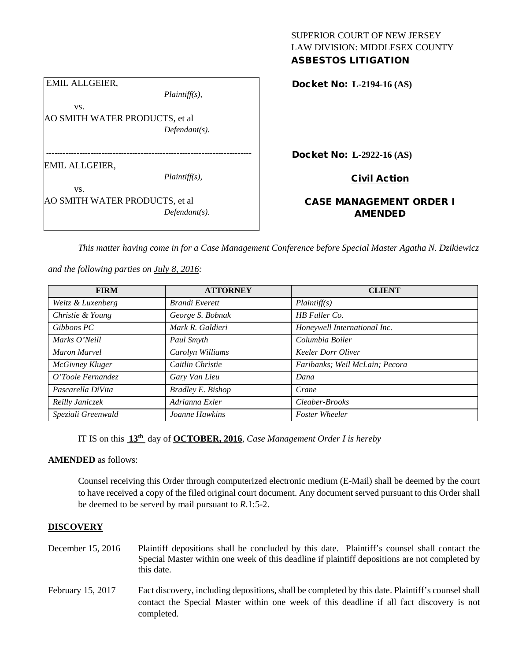|                                | ASBESTUS LI     |
|--------------------------------|-----------------|
| <b>EMIL ALLGEIER,</b>          | Docket No: L-   |
| $Plaintiff(s)$ ,               |                 |
| VS.                            |                 |
| AO SMITH WATER PRODUCTS, et al |                 |
| $Defendant(s)$ .               |                 |
|                                |                 |
|                                | Docket No: L-   |
| EMIL ALLGEIER,                 |                 |
| $Plaintiff(s)$ ,               | Ci              |
| VS.                            |                 |
| AO SMITH WATER PRODUCTS, et al | <b>CASE MAN</b> |
| $Defendant(s)$ .               |                 |
|                                |                 |

SUPERIOR COURT OF NEW JERSEY LAW DIVISION: MIDDLESEX COUNTY ASBESTOS LITIGATION

Docket No: **L-2194-16 (AS)** 

Docket No: **L-2922-16 (AS)** 

<u>ivil Action</u>

# **AGEMENT ORDER I** AMENDED

*This matter having come in for a Case Management Conference before Special Master Agatha N. Dzikiewicz* 

*and the following parties on July 8, 2016:*

| <b>FIRM</b>         | <b>ATTORNEY</b>          | <b>CLIENT</b>                  |
|---------------------|--------------------------|--------------------------------|
| Weitz & Luxenberg   | <b>Brandi</b> Everett    | Plaintiff(s)                   |
| Christie & Young    | George S. Bobnak         | HB Fuller Co.                  |
| Gibbons PC          | Mark R. Galdieri         | Honeywell International Inc.   |
| Marks O'Neill       | Paul Smyth               | Columbia Boiler                |
| <b>Maron Marvel</b> | Carolyn Williams         | <b>Keeler Dorr Oliver</b>      |
| McGivney Kluger     | Caitlin Christie         | Faribanks; Weil McLain; Pecora |
| O'Toole Fernandez   | Gary Van Lieu            | Dana                           |
| Pascarella DiVita   | <b>Bradley E. Bishop</b> | Crane                          |
| Reilly Janiczek     | Adrianna Exler           | Cleaber-Brooks                 |
| Speziali Greenwald  | Joanne Hawkins           | <b>Foster Wheeler</b>          |

IT IS on this **13th** day of **OCTOBER, 2016**, *Case Management Order I is hereby*

**AMENDED** as follows:

Counsel receiving this Order through computerized electronic medium (E-Mail) shall be deemed by the court to have received a copy of the filed original court document. Any document served pursuant to this Order shall be deemed to be served by mail pursuant to *R*.1:5-2.

## **DISCOVERY**

- December 15, 2016 Plaintiff depositions shall be concluded by this date. Plaintiff's counsel shall contact the Special Master within one week of this deadline if plaintiff depositions are not completed by this date.
- February 15, 2017 Fact discovery, including depositions, shall be completed by this date. Plaintiff's counsel shall contact the Special Master within one week of this deadline if all fact discovery is not completed.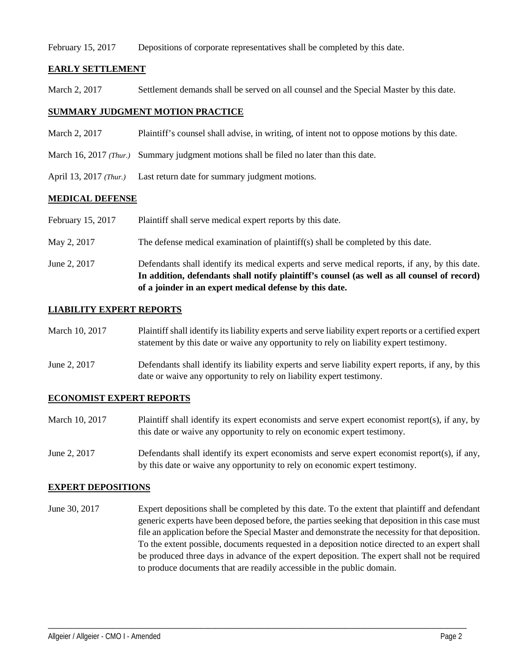#### February 15, 2017 Depositions of corporate representatives shall be completed by this date.

## **EARLY SETTLEMENT**

March 2, 2017 Settlement demands shall be served on all counsel and the Special Master by this date.

#### **SUMMARY JUDGMENT MOTION PRACTICE**

- March 2, 2017 Plaintiff's counsel shall advise, in writing, of intent not to oppose motions by this date.
- March 16, 2017 *(Thur.)* Summary judgment motions shall be filed no later than this date.
- April 13, 2017 *(Thur.)* Last return date for summary judgment motions.

#### **MEDICAL DEFENSE**

- February 15, 2017 Plaintiff shall serve medical expert reports by this date.
- May 2, 2017 The defense medical examination of plaintiff(s) shall be completed by this date.
- June 2, 2017 Defendants shall identify its medical experts and serve medical reports, if any, by this date. **In addition, defendants shall notify plaintiff's counsel (as well as all counsel of record) of a joinder in an expert medical defense by this date.**

### **LIABILITY EXPERT REPORTS**

| March 10, 2017 | Plaintiff shall identify its liability experts and serve liability expert reports or a certified expert |
|----------------|---------------------------------------------------------------------------------------------------------|
|                | statement by this date or waive any opportunity to rely on liability expert testimony.                  |

June 2, 2017 Defendants shall identify its liability experts and serve liability expert reports, if any, by this date or waive any opportunity to rely on liability expert testimony.

#### **ECONOMIST EXPERT REPORTS**

- March 10, 2017 Plaintiff shall identify its expert economists and serve expert economist report(s), if any, by this date or waive any opportunity to rely on economic expert testimony.
- June 2, 2017 Defendants shall identify its expert economists and serve expert economist report(s), if any, by this date or waive any opportunity to rely on economic expert testimony.

#### **EXPERT DEPOSITIONS**

June 30, 2017 Expert depositions shall be completed by this date. To the extent that plaintiff and defendant generic experts have been deposed before, the parties seeking that deposition in this case must file an application before the Special Master and demonstrate the necessity for that deposition. To the extent possible, documents requested in a deposition notice directed to an expert shall be produced three days in advance of the expert deposition. The expert shall not be required to produce documents that are readily accessible in the public domain.

\_\_\_\_\_\_\_\_\_\_\_\_\_\_\_\_\_\_\_\_\_\_\_\_\_\_\_\_\_\_\_\_\_\_\_\_\_\_\_\_\_\_\_\_\_\_\_\_\_\_\_\_\_\_\_\_\_\_\_\_\_\_\_\_\_\_\_\_\_\_\_\_\_\_\_\_\_\_\_\_\_\_\_\_\_\_\_\_\_\_\_\_\_\_\_\_\_\_\_\_\_\_\_\_\_\_\_\_\_\_